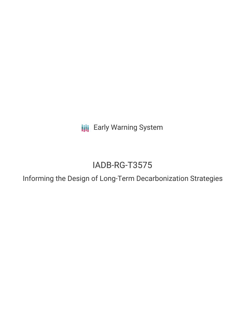**III** Early Warning System

# IADB-RG-T3575

Informing the Design of Long-Term Decarbonization Strategies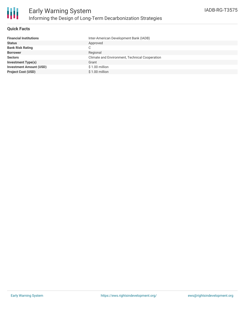

#### **Quick Facts**

| <b>Financial Institutions</b>  | Inter-American Development Bank (IADB)         |
|--------------------------------|------------------------------------------------|
| <b>Status</b>                  | Approved                                       |
| <b>Bank Risk Rating</b>        | C                                              |
| <b>Borrower</b>                | Regional                                       |
| <b>Sectors</b>                 | Climate and Environment, Technical Cooperation |
| <b>Investment Type(s)</b>      | Grant                                          |
| <b>Investment Amount (USD)</b> | $$1.00$ million                                |
| <b>Project Cost (USD)</b>      | $$1.00$ million                                |
|                                |                                                |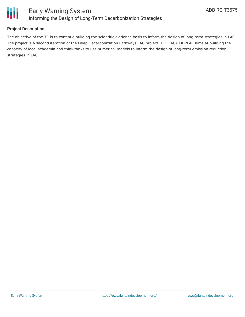

### **Project Description**

The objective of the TC is to continue building the scientific evidence basis to inform the design of long-term strategies in LAC. The project is a second iteration of the Deep Decarbonization Pathways LAC project (DDPLAC). DDPLAC aims at building the capacity of local academia and think tanks to use numerical models to inform the design of long-term emission reduction strategies in LAC.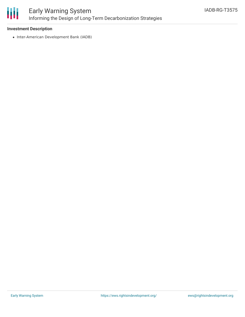

#### **Investment Description**

• Inter-American Development Bank (IADB)